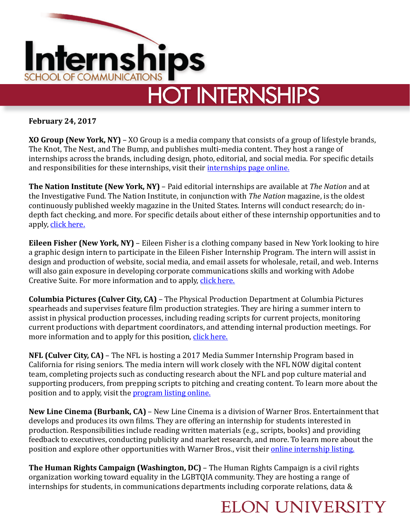

**February 24, 2017** 

**XO Group (New York, NY)** – XO Group is a media company that consists of a group of lifestyle brands, The Knot, The Nest, and The Bump, and publishes multi-media content. They host a range of internships across the brands, including design, photo, editorial, and social media. For specific details and responsibilities for these internships, visit their *internships page online*.

**The Nation Institute (New York, NY)** – Paid editorial internships are available at *The Nation* and at the Investigative Fund. The Nation Institute, in conjunction with *The Nation* magazine, is the oldest continuously published weekly magazine in the United States. Interns will conduct research; do indepth fact checking, and more. For specific details about either of these internship opportunities and to apply, click here.

**Eileen Fisher (New York, NY)** – Eileen Fisher is a clothing company based in New York looking to hire a graphic design intern to participate in the Eileen Fisher Internship Program. The intern will assist in design and production of website, social media, and email assets for wholesale, retail, and web. Interns will also gain exposure in developing corporate communications skills and working with Adobe Creative Suite. For more information and to apply, click here.

**Columbia Pictures (Culver City, CA)** – The Physical Production Department at Columbia Pictures spearheads and supervises feature film production strategies. They are hiring a summer intern to assist in physical production processes, including reading scripts for current projects, monitoring current productions with department coordinators, and attending internal production meetings. For more information and to apply for this position, click here.

**NFL (Culver City, CA)** – The NFL is hosting a 2017 Media Summer Internship Program based in California for rising seniors. The media intern will work closely with the NFL NOW digital content team, completing projects such as conducting research about the NFL and pop culture material and supporting producers, from prepping scripts to pitching and creating content. To learn more about the position and to apply, visit the program listing online.

**New Line Cinema (Burbank, CA)** – New Line Cinema is a division of Warner Bros. Entertainment that develops and produces its own films. They are offering an internship for students interested in production. Responsibilities include reading written materials (e.g., scripts, books) and providing feedback to executives, conducting publicity and market research, and more. To learn more about the position and explore other opportunities with Warner Bros., visit their online internship listing.

**The Human Rights Campaign (Washington, DC)** – The Human Rights Campaign is a civil rights organization working toward equality in the LGBTQIA community. They are hosting a range of internships for students, in communications departments including corporate relations, data  $\&$ 

## **ELON UNIVERSITY**